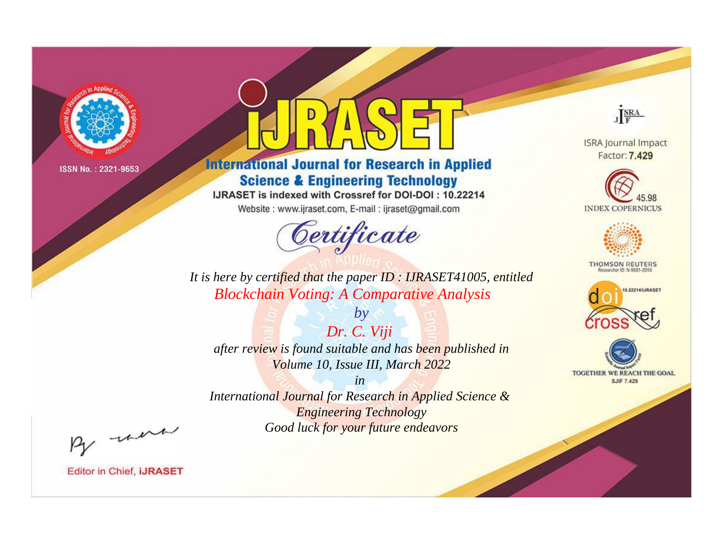

# **International Journal for Research in Applied Science & Engineering Technology**

IJRASET is indexed with Crossref for DOI-DOI: 10.22214

Website: www.ijraset.com, E-mail: ijraset@gmail.com



JERA

**ISRA Journal Impact** Factor: 7.429





**THOMSON REUTERS** 



TOGETHER WE REACH THE GOAL **SJIF 7.429** 

*It is here by certified that the paper ID : IJRASET41005, entitled Blockchain Voting: A Comparative Analysis*

*Dr. C. Viji after review is found suitable and has been published in Volume 10, Issue III, March 2022*

*by*

*in* 

*International Journal for Research in Applied Science & Engineering Technology Good luck for your future endeavors*

By morn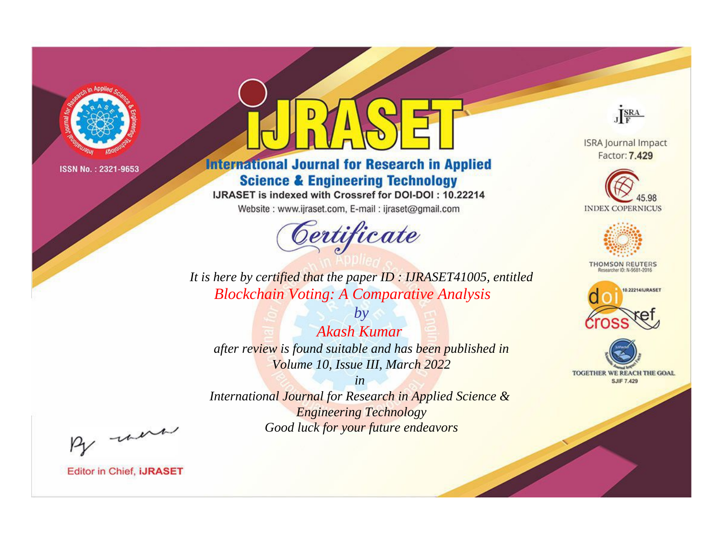

# **International Journal for Research in Applied Science & Engineering Technology**

IJRASET is indexed with Crossref for DOI-DOI: 10.22214

Website: www.ijraset.com, E-mail: ijraset@gmail.com



JERA

**ISRA Journal Impact** Factor: 7.429





**THOMSON REUTERS** 



TOGETHER WE REACH THE GOAL **SJIF 7.429** 

It is here by certified that the paper ID: IJRASET41005, entitled **Blockchain Voting: A Comparative Analysis** 

Akash Kumar after review is found suitable and has been published in Volume 10, Issue III, March 2022

 $b\nu$ 

 $in$ International Journal for Research in Applied Science & **Engineering Technology** Good luck for your future endeavors

By morn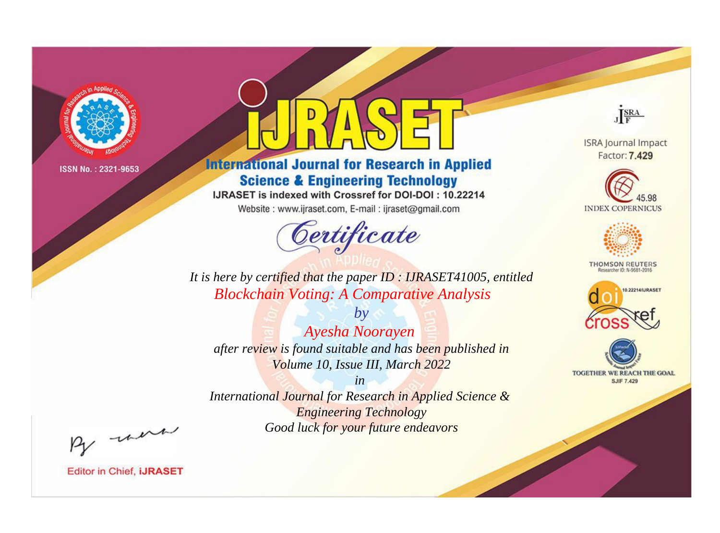

# **International Journal for Research in Applied Science & Engineering Technology**

IJRASET is indexed with Crossref for DOI-DOI: 10.22214

Website: www.ijraset.com, E-mail: ijraset@gmail.com



JERA

**ISRA Journal Impact** Factor: 7.429





**THOMSON REUTERS** 



TOGETHER WE REACH THE GOAL **SJIF 7.429** 

*It is here by certified that the paper ID : IJRASET41005, entitled Blockchain Voting: A Comparative Analysis*

*by Ayesha Noorayen after review is found suitable and has been published in Volume 10, Issue III, March 2022*

*in* 

*International Journal for Research in Applied Science & Engineering Technology Good luck for your future endeavors*

By morn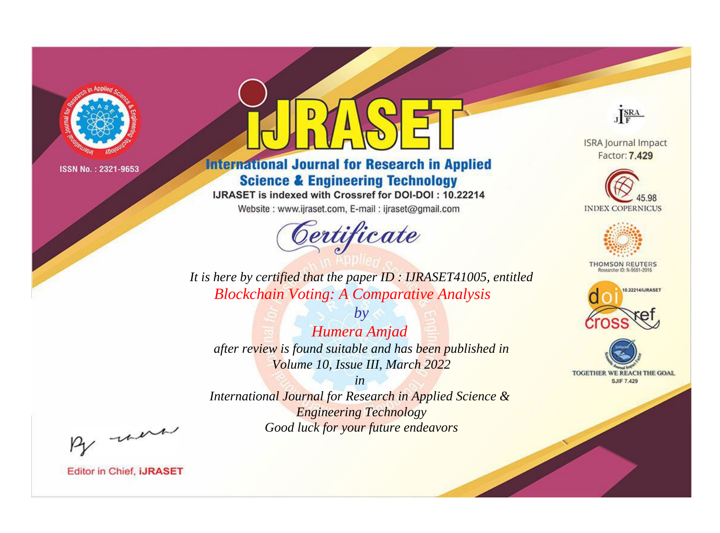

# **International Journal for Research in Applied Science & Engineering Technology**

IJRASET is indexed with Crossref for DOI-DOI: 10.22214

Website: www.ijraset.com, E-mail: ijraset@gmail.com



JERA

**ISRA Journal Impact** Factor: 7.429





**THOMSON REUTERS** 



TOGETHER WE REACH THE GOAL **SJIF 7.429** 

*It is here by certified that the paper ID : IJRASET41005, entitled Blockchain Voting: A Comparative Analysis*

*by Humera Amjad after review is found suitable and has been published in Volume 10, Issue III, March 2022*

*in* 

*International Journal for Research in Applied Science & Engineering Technology Good luck for your future endeavors*

By morn